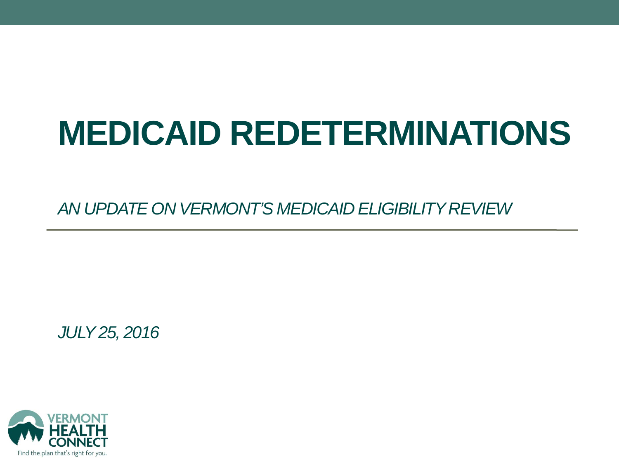# **MEDICAID REDETERMINATIONS**

*AN UPDATE ON VERMONT'S MEDICAID ELIGIBILITY REVIEW*

*JULY25, 2016*

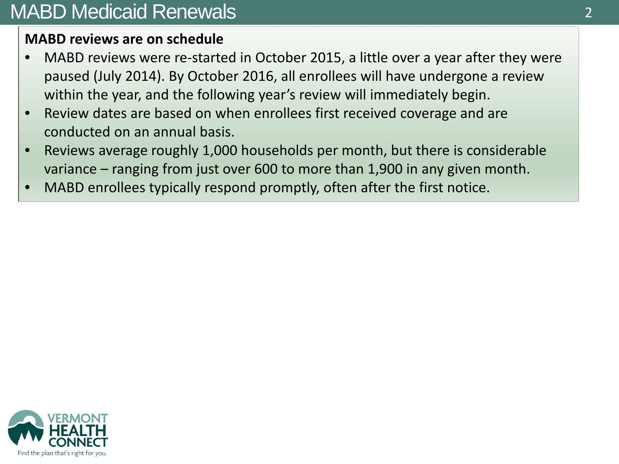## MABD Medicaid Renewals

#### **MABD reviews are on schedule**

- MABD reviews were re-started in October 2015, a little over a year after they were paused (July 2014). By October 2016, all enrollees will have undergone a review within the year, and the following year's review will immediately begin.
- Review dates are based on when enrollees first received coverage and are conducted on an annual basis.
- Reviews average roughly 1,000 households per month, but there is considerable variance – ranging from just over 600 to more than 1,900 in any given month.
- MABD enrollees typically respond promptly, often after the first notice.

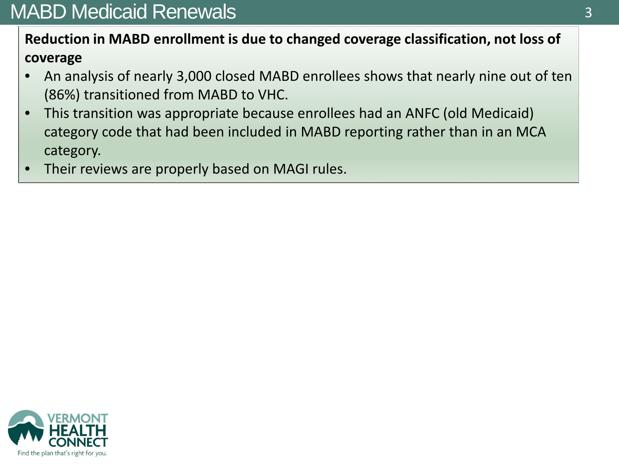## MABD Medicaid Renewals

### **Reduction in MABD enrollment is due to changed coverage classification, not loss of coverage**

- An analysis of nearly 3,000 closed MABD enrollees shows that nearly nine out of ten (86%) transitioned from MABD to VHC.
- This transition was appropriate because enrollees had an ANFC (old Medicaid) category code that had been included in MABD reporting rather than in an MCA category.
- Their reviews are properly based on MAGI rules.

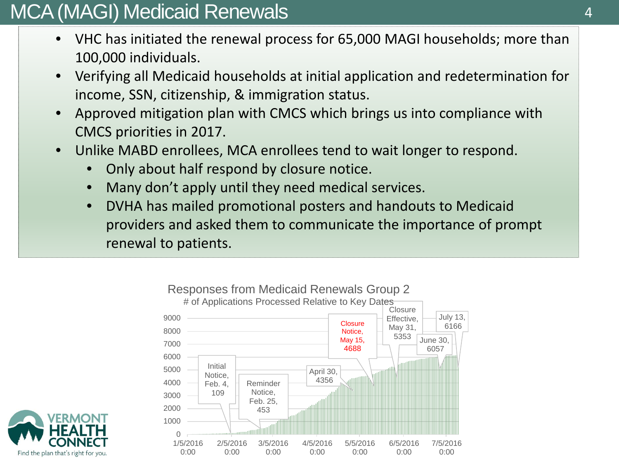## MCA (MAGI) Medicaid Renewals

- VHC has initiated the renewal process for 65,000 MAGI households; more than 100,000 individuals.
- Verifying all Medicaid households at initial application and redetermination for income, SSN, citizenship, & immigration status.
- Approved mitigation plan with CMCS which brings us into compliance with CMCS priorities in 2017.
- Unlike MABD enrollees, MCA enrollees tend to wait longer to respond.
	- Only about half respond by closure notice.
	- Many don't apply until they need medical services.
	- DVHA has mailed promotional posters and handouts to Medicaid providers and asked them to communicate the importance of prompt renewal to patients.



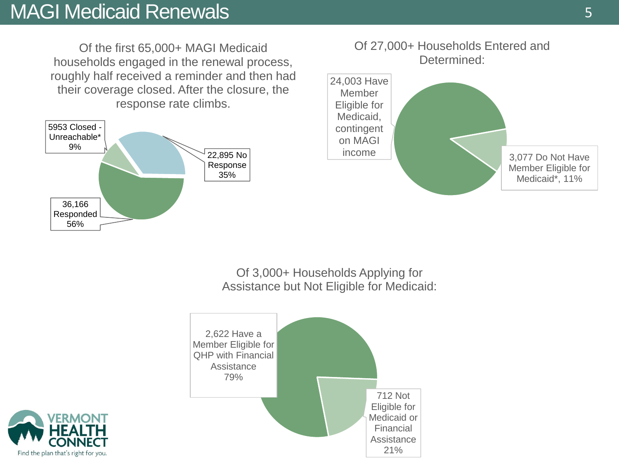## MAGI Medicaid Renewals 5

Of the first 65,000+ MAGI Medicaid households engaged in the renewal process, roughly half received a reminder and then had their coverage closed. After the closure, the response rate climbs.







Of 3,000+ Households Applying for Assistance but Not Eligible for Medicaid:



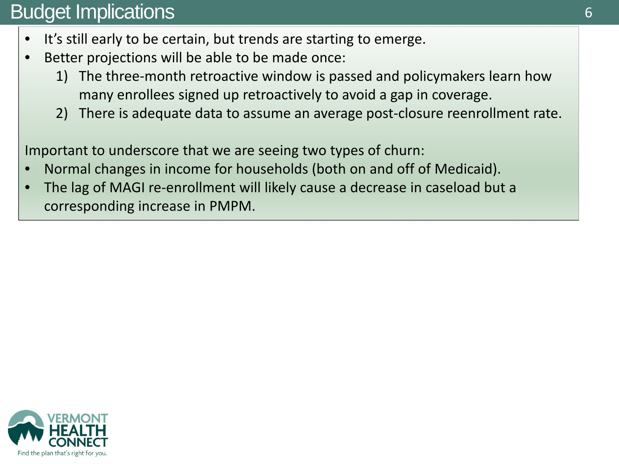## Budget Implications

- It's still early to be certain, but trends are starting to emerge.
- Better projections will be able to be made once:
	- 1) The three-month retroactive window is passed and policymakers learn how many enrollees signed up retroactively to avoid a gap in coverage.
	- 2) There is adequate data to assume an average post-closure reenrollment rate.

Important to underscore that we are seeing two types of churn:

- Normal changes in income for households (both on and off of Medicaid).
- The lag of MAGI re-enrollment will likely cause a decrease in caseload but a corresponding increase in PMPM.